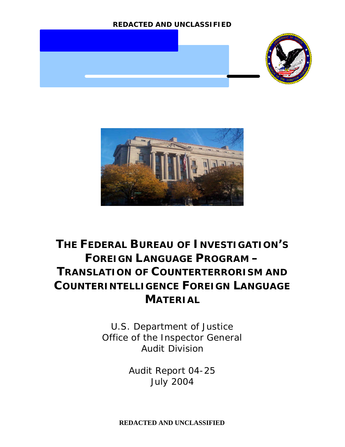



# **THE FEDERAL BUREAU OF INVESTIGATION'S FOREIGN LANGUAGE PROGRAM – TRANSLATION OF COUNTERTERRORISM AND COUNTERINTELLIGENCE FOREIGN LANGUAGE MATERIAL**

U.S. Department of Justice Office of the Inspector General Audit Division

> Audit Report 04-25 July 2004

**REDACTED AND UNCLASSIFIED**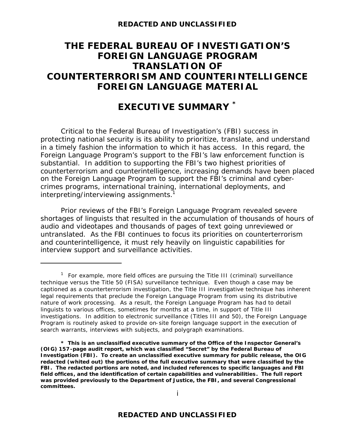# **THE FEDERAL BUREAU OF INVESTIGATION'S FOREIGN LANGUAGE PROGRAM TRANSLATION OF COUNTERTERRORISM AND COUNTERINTELLIGENCE FOREIGN LANGUAGE MATERIAL**

# **EXECUTIVE SUMMARY \***

Critical to the Federal Bureau of Investigation's (FBI) success in protecting national security is its ability to prioritize, translate, and understand in a timely fashion the information to which it has access. In this regard, the Foreign Language Program's support to the FBI's law enforcement function is substantial. In addition to supporting the FBI's two highest priorities of counterterrorism and counterintelligence, increasing demands have been placed on the Foreign Language Program to support the FBI's criminal and cybercrimes programs, international training, international deployments, and interpreting/interviewing assignments.<sup>1</sup>

Prior reviews of the FBI's Foreign Language Program revealed severe shortages of linguists that resulted in the accumulation of thousands of hours of audio and videotapes and thousands of pages of text going unreviewed or untranslated. As the FBI continues to focus its priorities on counterterrorism and counterintelligence, it must rely heavily on linguistic capabilities for interview support and surveillance activities.

<sup>&</sup>lt;sup>1</sup> For example, more field offices are pursuing the Title III (criminal) surveillance technique versus the Title 50 (FISA) surveillance technique. Even though a case may be captioned as a counterterrorism investigation, the Title III investigative technique has inherent legal requirements that preclude the Foreign Language Program from using its distributive nature of work processing. As a result, the Foreign Language Program has had to detail linguists to various offices, sometimes for months at a time, in support of Title III investigations. In addition to electronic surveillance (Titles III and 50), the Foreign Language Program is routinely asked to provide on-site foreign language support in the execution of search warrants, interviews with subjects, and polygraph examinations.

**<sup>\*</sup> This is an unclassified executive summary of the Office of the Inspector General's (OIG) 157-page audit report, which was classified "Secret" by the Federal Bureau of Investigation (FBI). To create an unclassified executive summary for public release, the OIG redacted (whited out) the portions of the full executive summary that were classified by the FBI. The redacted portions are noted, and included references to specific languages and FBI field offices, and the identification of certain capabilities and vulnerabilities. The full report was provided previously to the Department of Justice, the FBI, and several Congressional committees.**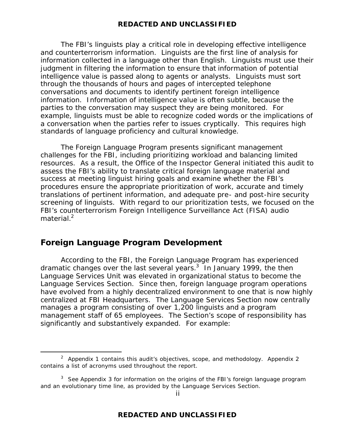The FBI's linguists play a critical role in developing effective intelligence and counterterrorism information. Linguists are the first line of analysis for information collected in a language other than English. Linguists must use their judgment in filtering the information to ensure that information of potential intelligence value is passed along to agents or analysts. Linguists must sort through the thousands of hours and pages of intercepted telephone conversations and documents to identify pertinent foreign intelligence information. Information of intelligence value is often subtle, because the parties to the conversation may suspect they are being monitored. For example, linguists must be able to recognize coded words or the implications of a conversation when the parties refer to issues cryptically. This requires high standards of language proficiency and cultural knowledge.

The Foreign Language Program presents significant management challenges for the FBI, including prioritizing workload and balancing limited resources. As a result, the Office of the Inspector General initiated this audit to assess the FBI's ability to translate critical foreign language material and success at meeting linguist hiring goals and examine whether the FBI's procedures ensure the appropriate prioritization of work, accurate and timely translations of pertinent information, and adequate pre- and post-hire security screening of linguists. With regard to our prioritization tests, we focused on the FBI's counterterrorism Foreign Intelligence Surveillance Act (FISA) audio material. $<sup>2</sup>$ </sup>

# **Foreign Language Program Development**

 $\overline{a}$ 

According to the FBI, the Foreign Language Program has experienced dramatic changes over the last several years.<sup>3</sup> In January 1999, the then Language Services Unit was elevated in organizational status to become the Language Services Section. Since then, foreign language program operations have evolved from a highly decentralized environment to one that is now highly centralized at FBI Headquarters. The Language Services Section now centrally manages a program consisting of over 1,200 linguists and a program management staff of 65 employees. The Section's scope of responsibility has significantly and substantively expanded. For example:

<sup>&</sup>lt;sup>2</sup> Appendix 1 contains this audit's objectives, scope, and methodology. Appendix 2 contains a list of acronyms used throughout the report.

<sup>&</sup>lt;sup>3</sup> See Appendix 3 for information on the origins of the FBI's foreign language program and an evolutionary time line, as provided by the Language Services Section.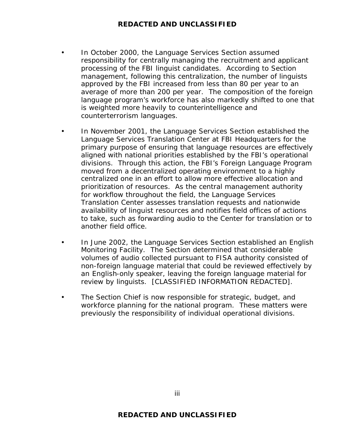- In October 2000, the Language Services Section assumed responsibility for centrally managing the recruitment and applicant processing of the FBI linguist candidates. According to Section management, following this centralization, the number of linguists approved by the FBI increased from less than 80 per year to an average of more than 200 per year. The composition of the foreign language program's workforce has also markedly shifted to one that is weighted more heavily to counterintelligence and counterterrorism languages.
- In November 2001, the Language Services Section established the Language Services Translation Center at FBI Headquarters for the primary purpose of ensuring that language resources are effectively aligned with national priorities established by the FBI's operational divisions. Through this action, the FBI's Foreign Language Program moved from a decentralized operating environment to a highly centralized one in an effort to allow more effective allocation and prioritization of resources. As the central management authority for workflow throughout the field, the Language Services Translation Center assesses translation requests and nationwide availability of linguist resources and notifies field offices of actions to take, such as forwarding audio to the Center for translation or to another field office.
- In June 2002, the Language Services Section established an English Monitoring Facility. The Section determined that considerable volumes of audio collected pursuant to FISA authority consisted of non-foreign language material that could be reviewed effectively by an English-only speaker, leaving the foreign language material for review by linguists. [CLASSIFIED INFORMATION REDACTED].
- The Section Chief is now responsible for strategic, budget, and workforce planning for the national program. These matters were previously the responsibility of individual operational divisions.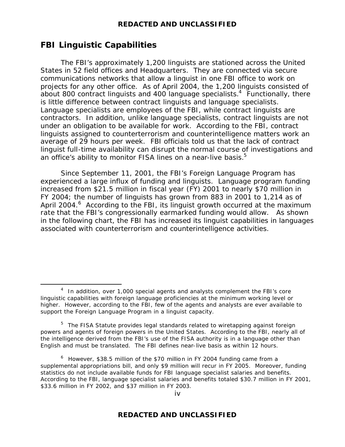# **FBI Linguistic Capabilities**

 $\overline{a}$ 

The FBI's approximately 1,200 linguists are stationed across the United States in 52 field offices and Headquarters. They are connected via secure communications networks that allow a linguist in one FBI office to work on projects for any other office. As of April 2004, the 1,200 linguists consisted of about 800 contract linguists and 400 language specialists.<sup>4</sup> Functionally, there is little difference between contract linguists and language specialists. Language specialists are employees of the FBI, while contract linguists are contractors. In addition, unlike language specialists, contract linguists are not under an obligation to be available for work. According to the FBI, contract linguists assigned to counterterrorism and counterintelligence matters work an average of 29 hours per week. FBI officials told us that the lack of contract linguist full-time availability can disrupt the normal course of investigations and an office's ability to monitor FISA lines on a near-live basis. $5$ 

Since September 11, 2001, the FBI's Foreign Language Program has experienced a large influx of funding and linguists. Language program funding increased from \$21.5 million in fiscal year (FY) 2001 to nearly \$70 million in FY 2004; the number of linguists has grown from 883 in 2001 to 1,214 as of April 2004.<sup>6</sup> According to the FBI, its linguist growth occurred at the maximum rate that the FBI's congressionally earmarked funding would allow. As shown in the following chart, the FBI has increased its linguist capabilities in languages associated with counterterrorism and counterintelligence activities.

 $4$  In addition, over 1,000 special agents and analysts complement the FBI's core linguistic capabilities with foreign language proficiencies at the minimum working level or higher. However, according to the FBI, few of the agents and analysts are ever available to support the Foreign Language Program in a linguist capacity.

<sup>&</sup>lt;sup>5</sup> The FISA Statute provides legal standards related to wiretapping against foreign powers and agents of foreign powers in the United States. According to the FBI, nearly all of the intelligence derived from the FBI's use of the FISA authority is in a language other than English and must be translated. The FBI defines near-live basis as within 12 hours.

 $6$  However, \$38.5 million of the \$70 million in FY 2004 funding came from a supplemental appropriations bill, and only \$9 million will recur in FY 2005. Moreover, funding statistics do not include available funds for FBI language specialist salaries and benefits. According to the FBI, language specialist salaries and benefits totaled \$30.7 million in FY 2001, \$33.6 million in FY 2002, and \$37 million in FY 2003.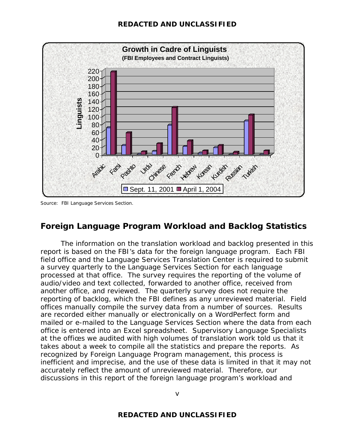

Source: FBI Language Services Section.

# **Foreign Language Program Workload and Backlog Statistics**

The information on the translation workload and backlog presented in this report is based on the FBI's data for the foreign language program. Each FBI field office and the Language Services Translation Center is required to submit a survey quarterly to the Language Services Section for each language processed at that office. The survey requires the reporting of the volume of audio/video and text collected, forwarded to another office, received from another office, and reviewed. The quarterly survey does not require the reporting of backlog, which the FBI defines as any unreviewed material. Field offices manually compile the survey data from a number of sources. Results are recorded either manually or electronically on a WordPerfect form and mailed or e-mailed to the Language Services Section where the data from each office is entered into an Excel spreadsheet. Supervisory Language Specialists at the offices we audited with high volumes of translation work told us that it takes about a week to compile all the statistics and prepare the reports. As recognized by Foreign Language Program management, this process is inefficient and imprecise, and the use of these data is limited in that it may not accurately reflect the amount of unreviewed material. Therefore, our discussions in this report of the foreign language program's workload and

v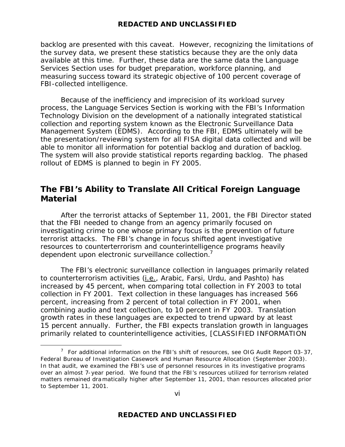backlog are presented with this caveat. However, recognizing the limitations of the survey data, we present these statistics because they are the only data available at this time. Further, these data are the same data the Language Services Section uses for budget preparation, workforce planning, and measuring success toward its strategic objective of 100 percent coverage of FBI-collected intelligence.

Because of the inefficiency and imprecision of its workload survey process, the Language Services Section is working with the FBI's Information Technology Division on the development of a nationally integrated statistical collection and reporting system known as the Electronic Surveillance Data Management System (EDMS). According to the FBI, EDMS ultimately will be the presentation/reviewing system for all FISA digital data collected and will be able to monitor all information for potential backlog and duration of backlog. The system will also provide statistical reports regarding backlog. The phased rollout of EDMS is planned to begin in FY 2005.

# **The FBI's Ability to Translate All Critical Foreign Language Material**

After the terrorist attacks of September 11, 2001, the FBI Director stated that the FBI needed to change from an agency primarily focused on investigating crime to one whose primary focus is the prevention of future terrorist attacks. The FBI's change in focus shifted agent investigative resources to counterterrorism and counterintelligence programs heavily dependent upon electronic surveillance collection.<sup>7</sup>

The FBI's electronic surveillance collection in languages primarily related to counterterrorism activities (i.e., Arabic, Farsi, Urdu, and Pashto) has increased by 45 percent, when comparing total collection in FY 2003 to total collection in FY 2001. Text collection in these languages has increased 566 percent, increasing from 2 percent of total collection in FY 2001, when combining audio and text collection, to 10 percent in FY 2003. Translation growth rates in these languages are expected to trend upward by at least 15 percent annually. Further, the FBI expects translation growth in languages primarily related to counterintelligence activities, [CLASSIFIED INFORMATION

<sup>&</sup>lt;sup>7</sup> For additional information on the FBI's shift of resources, see OIG Audit Report 03-37, Federal Bureau of Investigation Casework and Human Resource Allocation (September 2003). In that audit, we examined the FBI's use of personnel resources in its investigative programs over an almost 7-year period. We found that the FBI's resources utilized for terrorism- related matters remained dramatically higher after September 11, 2001, than resources allocated prior to September 11, 2001.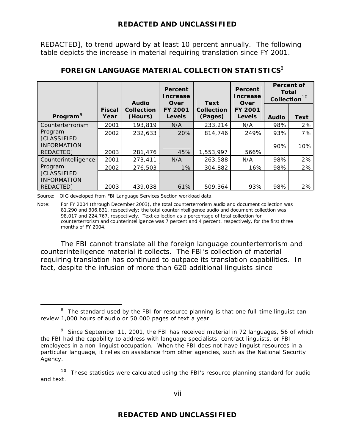REDACTED], to trend upward by at least 10 percent annually. The following table depicts the increase in material requiring translation since FY 2001.

|                                                       |                       | <b>Audio</b>          | Percent<br>Increase<br><b>Over</b> | <b>Text</b>                  | Percent<br><b>Increase</b><br><b>Over</b> | <b>Percent of</b><br><b>Total</b><br>Collection <sup>10</sup> |             |  |
|-------------------------------------------------------|-----------------------|-----------------------|------------------------------------|------------------------------|-------------------------------------------|---------------------------------------------------------------|-------------|--|
| Program <sup>9</sup>                                  | <b>Fiscal</b><br>Year | Collection<br>(Hours) | <b>FY 2001</b><br><b>Levels</b>    | <b>Collection</b><br>(Pages) | <b>FY 2001</b><br><b>Levels</b>           | <b>Audio</b>                                                  | <b>Text</b> |  |
| Counterterrorism                                      | 2001                  | 193,819               | N/A                                | 233,214                      | N/A                                       | 98%                                                           | 2%          |  |
| Program                                               | 2002                  | 232,633               | 20%                                | 814,746                      | 249%                                      | 93%                                                           | 7%          |  |
| <b>[CLASSIFIED</b><br><b>INFORMATION</b><br>REDACTED] | 2003                  | 281,476               | 45%                                | 1,553,997                    | 566%                                      | 90%                                                           | 10%         |  |
| Counterintelligence                                   | 2001                  | 273,411               | N/A                                | 263,588                      | N/A                                       | 98%                                                           | 2%          |  |
| Program                                               | 2002                  | 276,503               | $1\%$                              | 304,882                      | 16%                                       | 98%                                                           | 2%          |  |
| <b>[CLASSIFIED</b><br><b>INFORMATION</b><br>REDACTED] | 2003                  | 439,038               | 61%                                | 509,364                      | 93%                                       | 98%                                                           | 2%          |  |

# **FOREIGN LANGUAGE MATERIAL COLLECTION STATISTICS**<sup>8</sup>

Source: OIG developed from FBI Language Services Section workload data.

 $\overline{a}$ 

Note: For FY 2004 (through December 2003), the total counterterrorism audio and document collection was 81,290 and 306,831, respectively; the total counterintelligence audio and document collection was 98,017 and 224,767, respectively. Text collection as a percentage of total collection for counterterrorism and counterintelligence was 7 percent and 4 percent, respectively, for the first three months of FY 2004.

The FBI cannot translate all the foreign language counterterrorism and counterintelligence material it collects. The FBI's collection of material requiring translation has continued to outpace its translation capabilities. In fact, despite the infusion of more than 620 additional linguists since

 $10$  These statistics were calculated using the FBI's resource planning standard for audio and text.

 $8$  The standard used by the FBI for resource planning is that one full-time linguist can review 1,000 hours of audio or 50,000 pages of text a year.

<sup>&</sup>lt;sup>9</sup> Since September 11, 2001, the FBI has received material in 72 languages, 56 of which the FBI had the capability to address with language specialists, contract linguists, or FBI employees in a non-linguist occupation. When the FBI does not have linguist resources in a particular language, it relies on assistance from other agencies, such as the National Security Agency.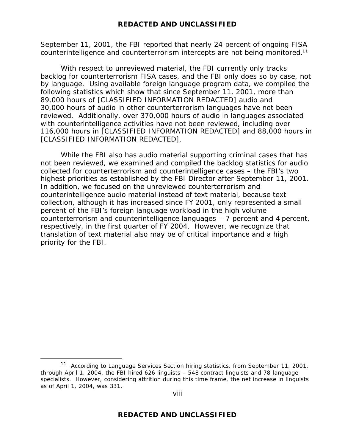September 11, 2001, the FBI reported that nearly 24 percent of ongoing FISA counterintelligence and counterterrorism intercepts are not being monitored.<sup>11</sup>

With respect to unreviewed material, the FBI currently only tracks backlog for counterterrorism FISA cases, and the FBI only does so by case, not by language. Using available foreign language program data, we compiled the following statistics which show that since September 11, 2001, more than 89,000 hours of [CLASSIFIED INFORMATION REDACTED] audio and 30,000 hours of audio in other counterterrorism languages have not been reviewed. Additionally, over 370,000 hours of audio in languages associated with counterintelligence activities have not been reviewed, including over 116,000 hours in [CLASSIFIED INFORMATION REDACTED] and 88,000 hours in [CLASSIFIED INFORMATION REDACTED].

While the FBI also has audio material supporting criminal cases that has not been reviewed, we examined and compiled the backlog statistics for audio collected for counterterrorism and counterintelligence cases – the FBI's two highest priorities as established by the FBI Director after September 11, 2001. In addition, we focused on the unreviewed counterterrorism and counterintelligence audio material instead of text material, because text collection, although it has increased since FY 2001, only represented a small percent of the FBI's foreign language workload in the high volume counterterrorism and counterintelligence languages – 7 percent and 4 percent, respectively, in the first quarter of FY 2004. However, we recognize that translation of text material also may be of critical importance and a high priority for the FBI.

 $11$  According to Language Services Section hiring statistics, from September 11, 2001, through April 1, 2004, the FBI hired 626 linguists – 548 contract linguists and 78 language specialists. However, considering attrition during this time frame, the net increase in linguists as of April 1, 2004, was 331.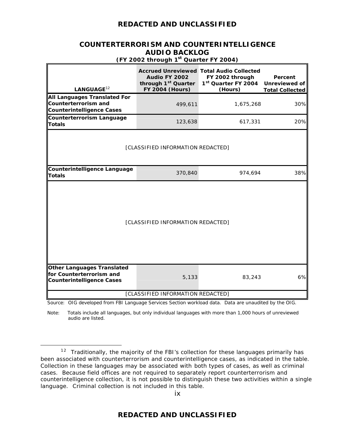#### **COUNTERTERRORISM AND COUNTERINTELLIGENCE AUDIO BACKLOG (FY 2002 through 1st Quarter FY 2004)**

| LANGUAGE <sup>12</sup>                                                                            | through 1 <sup>st</sup> Quarter<br><b>FY 2004 (Hours)</b> | 1 <sup>st</sup> Quarter FY 2004<br>(Hours) | Percent<br>Unreviewed of<br><b>Total Collected</b> |  |  |  |  |  |  |  |
|---------------------------------------------------------------------------------------------------|-----------------------------------------------------------|--------------------------------------------|----------------------------------------------------|--|--|--|--|--|--|--|
| All Languages Translated For<br><b>Counterterrorism and</b><br><b>Counterintelligence Cases</b>   | 499,611                                                   | 1,675,268                                  | 30%                                                |  |  |  |  |  |  |  |
| <b>Counterterrorism Language</b><br><b>Totals</b>                                                 | 123,638                                                   | 617,331                                    | 20%                                                |  |  |  |  |  |  |  |
|                                                                                                   | [CLASSIFIED INFORMATION REDACTED]                         |                                            |                                                    |  |  |  |  |  |  |  |
| <b>Counterintelligence Language</b><br><b>Totals</b>                                              | 370,840                                                   | 974,694                                    | 38%                                                |  |  |  |  |  |  |  |
| [CLASSIFIED INFORMATION REDACTED]                                                                 |                                                           |                                            |                                                    |  |  |  |  |  |  |  |
| <b>Other Languages Translated</b><br>for Counterterrorism and<br><b>Counterintelligence Cases</b> | 5,133                                                     | 83,243                                     | 6%                                                 |  |  |  |  |  |  |  |
|                                                                                                   | [CLASSIFIED INFORMATION REDACTED]                         |                                            |                                                    |  |  |  |  |  |  |  |

Source: OIG developed from FBI Language Services Section workload data. Data are unaudited by the OIG.

Note: Totals include all languages, but only individual languages with more than 1,000 hours of unreviewed audio are listed.

 $12$  Traditionally, the majority of the FBI's collection for these languages primarily has been associated with counterterrorism and counterintelligence cases, as indicated in the table. Collection in these languages may be associated with both types of cases, as well as criminal cases. Because field offices are not required to separately report counterterrorism and counterintelligence collection, it is not possible to distinguish these two activities within a single language. Criminal collection is not included in this table.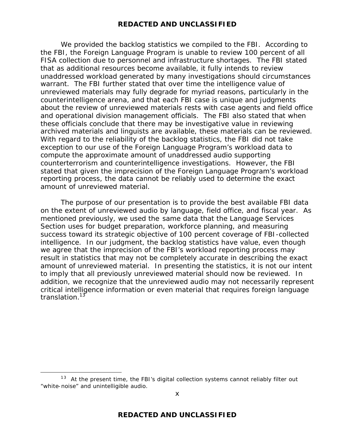We provided the backlog statistics we compiled to the FBI. According to the FBI, the Foreign Language Program is unable to review 100 percent of all FISA collection due to personnel and infrastructure shortages. The FBI stated that as additional resources become available, it fully intends to review unaddressed workload generated by many investigations should circumstances warrant. The FBI further stated that over time the intelligence value of unreviewed materials may fully degrade for myriad reasons, particularly in the counterintelligence arena, and that each FBI case is unique and judgments about the review of unreviewed materials rests with case agents and field office and operational division management officials. The FBI also stated that when these officials conclude that there may be investigative value in reviewing archived materials and linguists are available, these materials can be reviewed. With regard to the reliability of the backlog statistics, the FBI did not take exception to our use of the Foreign Language Program's workload data to compute the approximate amount of unaddressed audio supporting counterterrorism and counterintelligence investigations. However, the FBI stated that given the imprecision of the Foreign Language Program's workload reporting process, the data cannot be reliably used to determine the exact amount of unreviewed material.

The purpose of our presentation is to provide the best available FBI data on the extent of unreviewed audio by language, field office, and fiscal year. As mentioned previously, we used the same data that the Language Services Section uses for budget preparation, workforce planning, and measuring success toward its strategic objective of 100 percent coverage of FBI-collected intelligence. In our judgment, the backlog statistics have value, even though we agree that the imprecision of the FBI's workload reporting process may result in statistics that may not be completely accurate in describing the exact amount of unreviewed material. In presenting the statistics, it is not our intent to imply that all previously unreviewed material should now be reviewed. In addition, we recognize that the unreviewed audio may not necessarily represent critical intelligence information or even material that requires foreign language translation.<sup>13</sup>

 $13$  At the present time, the FBI's digital collection systems cannot reliably filter out "white-noise" and unintelligible audio.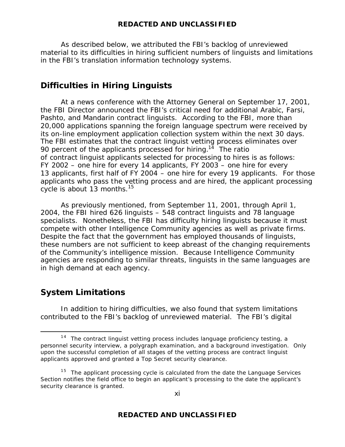As described below, we attributed the FBI's backlog of unreviewed material to its difficulties in hiring sufficient numbers of linguists and limitations in the FBI's translation information technology systems.

# **Difficulties in Hiring Linguists**

At a news conference with the Attorney General on September 17, 2001, the FBI Director announced the FBI's critical need for additional Arabic, Farsi, Pashto, and Mandarin contract linguists. According to the FBI, more than 20,000 applications spanning the foreign language spectrum were received by its on-line employment application collection system within the next 30 days. The FBI estimates that the contract linguist vetting process eliminates over 90 percent of the applicants processed for hiring.<sup>14</sup> The ratio of contract linguist applicants selected for processing to hires is as follows: FY 2002 – one hire for every 14 applicants, FY 2003 – one hire for every 13 applicants, first half of FY 2004 – one hire for every 19 applicants. For those applicants who pass the vetting process and are hired, the applicant processing cycle is about 13 months.<sup>15</sup>

As previously mentioned, from September 11, 2001, through April 1, 2004, the FBI hired 626 linguists – 548 contract linguists and 78 language specialists. Nonetheless, the FBI has difficulty hiring linguists because it must compete with other Intelligence Community agencies as well as private firms. Despite the fact that the government has employed thousands of linguists, these numbers are not sufficient to keep abreast of the changing requirements of the Community's intelligence mission. Because Intelligence Community agencies are responding to similar threats, linguists in the same languages are in high demand at each agency.

# **System Limitations**

 $\overline{a}$ 

In addition to hiring difficulties, we also found that system limitations contributed to the FBI's backlog of unreviewed material. The FBI's digital

 $14$  The contract linguist vetting process includes language proficiency testing, a personnel security interview, a polygraph examination, and a background investigation. Only upon the successful completion of all stages of the vetting process are contract linguist applicants approved and granted a Top Secret security clearance.

 $15$  The applicant processing cycle is calculated from the date the Language Services Section notifies the field office to begin an applicant's processing to the date the applicant's security clearance is granted.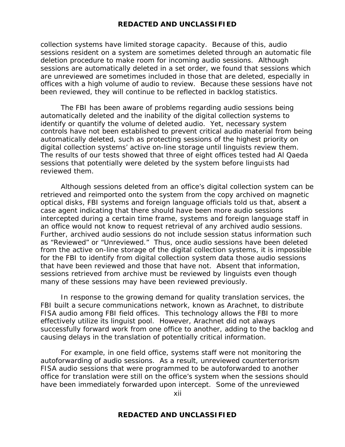collection systems have limited storage capacity. Because of this, audio sessions resident on a system are sometimes deleted through an automatic file deletion procedure to make room for incoming audio sessions. Although sessions are automatically deleted in a set order, we found that sessions which are unreviewed are sometimes included in those that are deleted, especially in offices with a high volume of audio to review. Because these sessions have not been reviewed, they will continue to be reflected in backlog statistics.

The FBI has been aware of problems regarding audio sessions being automatically deleted and the inability of the digital collection systems to identify or quantify the volume of deleted audio. Yet, necessary system controls have not been established to prevent critical audio material from being automatically deleted, such as protecting sessions of the highest priority on digital collection systems' active on-line storage until linguists review them. The results of our tests showed that three of eight offices tested had Al Qaeda sessions that potentially were deleted by the system before linguists had reviewed them.

Although sessions deleted from an office's digital collection system can be retrieved and reimported onto the system from the copy archived on magnetic optical disks, FBI systems and foreign language officials told us that, absent a case agent indicating that there should have been more audio sessions intercepted during a certain time frame, systems and foreign language staff in an office would not know to request retrieval of any archived audio sessions. Further, archived audio sessions do not include session status information such as "Reviewed" or "Unreviewed." Thus, once audio sessions have been deleted from the active on-line storage of the digital collection systems, it is impossible for the FBI to identify from digital collection system data those audio sessions that have been reviewed and those that have not. Absent that information, sessions retrieved from archive must be reviewed by linguists even though many of these sessions may have been reviewed previously.

In response to the growing demand for quality translation services, the FBI built a secure communications network, known as Arachnet, to distribute FISA audio among FBI field offices. This technology allows the FBI to more effectively utilize its linguist pool. However, Arachnet did not always successfully forward work from one office to another, adding to the backlog and causing delays in the translation of potentially critical information.

For example, in one field office, systems staff were not monitoring the autoforwarding of audio sessions. As a result, unreviewed counterterrorism FISA audio sessions that were programmed to be autoforwarded to another office for translation were still on the office's system when the sessions should have been immediately forwarded upon intercept. Some of the unreviewed

xii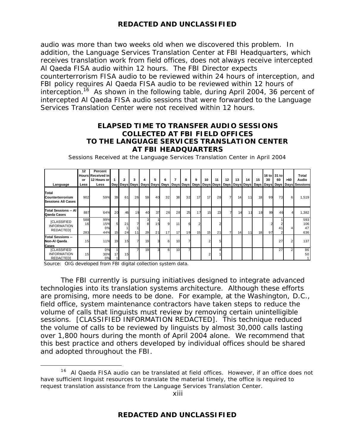audio was more than two weeks old when we discovered this problem. In addition, the Language Services Translation Center at FBI Headquarters, which receives translation work from field offices, does not always receive intercepted Al Qaeda FISA audio within 12 hours. The FBI Director expects counterterrorism FISA audio to be reviewed within 24 hours of interception, and FBI policy requires Al Qaeda FISA audio to be reviewed within 12 hours of interception.<sup>16</sup> As shown in the following table, during April 2004, 36 percent of intercepted Al Qaeda FISA audio sessions that were forwarded to the Language Services Translation Center were not received within 12 hours.

#### **ELAPSED TIME TO TRANSFER AUDIO SESSIONS COLLECTED AT FBI FIELD OFFICES TO THE LANGUAGE SERVICES TRANSLATION CENTER AT FBI HEADQUARTERS**

| Language                                                     | 12<br>or<br>Less | Percent<br><b>Hours Received in</b><br>12 Hours or<br>Less |         | $\overline{c}$ | 3<br>  Day   Days  Days   Days  Days  Days   Days  Days  Days   Days  Days  Days   Days  Days |              | 5        | 6       |          | 8  | 9                    | 10 | 11 | 12             | 13 | 14 | 15 | 16 to<br>30 | 31 to<br>60 | >60 | Total<br>Audio<br>Days Days Days Days Sessions |
|--------------------------------------------------------------|------------------|------------------------------------------------------------|---------|----------------|-----------------------------------------------------------------------------------------------|--------------|----------|---------|----------|----|----------------------|----|----|----------------|----|----|----|-------------|-------------|-----|------------------------------------------------|
| Total<br>Counterterrorism<br><b>Sessions All Cases</b>       | 902              | 59%                                                        | 39      | 61             | 26                                                                                            | 59           | 40       | 32      | 38       | 32 | 17                   | 17 | 28 | $\overline{7}$ | 14 | 11 | 18 | 99          | 73          | 6   | 1,519                                          |
| Total Sessions -- Al<br>Qaeda Cases                          | 887              | 64%                                                        | 20      | 46             | 19                                                                                            | 40           | 37       | 26      | 28       | 25 | 17                   | 15 | 23 |                | 14 | 11 | 18 | 99          | 46          |     | 1,382                                          |
| <b>[CLASSIFIED</b><br><b>INFORMATION</b><br><b>REDACTED]</b> | 588<br>16<br>283 | 99%<br>15%<br>0%<br>44%                                    | 5<br>15 | 21<br>24       | 11                                                                                            | 3<br>8<br>29 | 15<br>21 | 9<br>17 | 11<br>17 | 19 | $\overline{2}$<br>15 | 15 | 21 | $\overline{7}$ | 14 | 11 | 18 | 97          | 41<br>2     |     | 593<br>106<br>47<br>636                        |
| Total Sessions --<br>Non-Al Qaeda<br>Cases                   | 15               | 11%                                                        | 19      | 15             |                                                                                               | 19           |          | 6       | 10       |    |                      |    |    |                |    |    |    |             | 27          |     | 137                                            |
| <b>[CLASSIFIED</b><br><b>INFORMATION</b><br><b>REDACTED]</b> | 15               | 0%<br>30%<br>0%                                            | 17      | 15             |                                                                                               | 19           |          | 6       | 10       |    |                      |    |    |                |    |    |    |             | 27          |     | 86<br>50                                       |

Sessions Received at the Language Services Translation Center in April 2004

Source: OIG developed from FBI digital collection system data.

 $\overline{a}$ 

The FBI currently is pursuing initiatives designed to integrate advanced technologies into its translation systems architecture. Although these efforts are promising, more needs to be done. For example, at the Washington, D.C., field office, system maintenance contractors have taken steps to reduce the volume of calls that linguists must review by removing certain unintelligible sessions. [CLASSIFIED INFORMATION REDACTED]. This technique reduced the volume of calls to be reviewed by linguists by almost 30,000 calls lasting over 1,800 hours during the month of April 2004 alone. We recommend that this best practice and others developed by individual offices should be shared and adopted throughout the FBI.

 $16$  Al Qaeda FISA audio can be translated at field offices. However, if an office does not have sufficient linguist resources to translate the material timely, the office is required to request translation assistance from the Language Services Translation Center.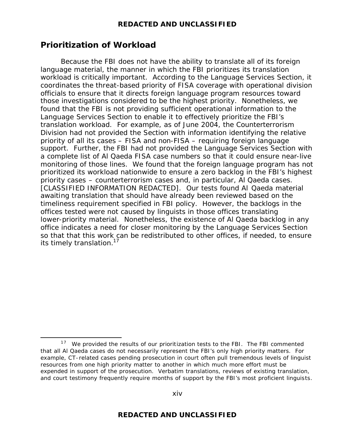# **Prioritization of Workload**

 $\overline{a}$ 

Because the FBI does not have the ability to translate all of its foreign language material, the manner in which the FBI prioritizes its translation workload is critically important. According to the Language Services Section, it coordinates the threat-based priority of FISA coverage with operational division officials to ensure that it directs foreign language program resources toward those investigations considered to be the highest priority. Nonetheless, we found that the FBI is not providing sufficient operational information to the Language Services Section to enable it to effectively prioritize the FBI's translation workload. For example, as of June 2004, the Counterterrorism Division had not provided the Section with information identifying the relative priority of all its cases – FISA and non-FISA – requiring foreign language support. Further, the FBI had not provided the Language Services Section with a complete list of Al Qaeda FISA case numbers so that it could ensure near-live monitoring of those lines. We found that the foreign language program has not prioritized its workload nationwide to ensure a zero backlog in the FBI's highest priority cases – counterterrorism cases and, in particular, Al Qaeda cases. [CLASSIFIED INFORMATION REDACTED]. Our tests found Al Qaeda material awaiting translation that should have already been reviewed based on the timeliness requirement specified in FBI policy. However, the backlogs in the offices tested were not caused by linguists in those offices translating lower-priority material. Nonetheless, the existence of Al Qaeda backlog in any office indicates a need for closer monitoring by the Language Services Section so that that this work can be redistributed to other offices, if needed, to ensure its timely translation.<sup>17</sup>

xiv

 $17$  We provided the results of our prioritization tests to the FBI. The FBI commented that all Al Qaeda cases do not necessarily represent the FBI's only high priority matters. For example, CT-related cases pending prosecution in court often pull tremendous levels of linguist resources from one high priority matter to another in which much more effort must be expended in support of the prosecution. Verbatim translations, reviews of existing translation, and court testimony frequently require months of support by the FBI's most proficient linguists.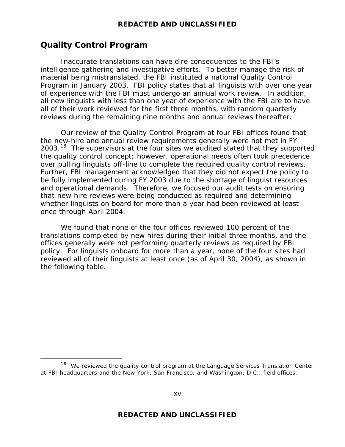# **Quality Control Program**

 $\overline{a}$ 

Inaccurate translations can have dire consequences to the FBI's intelligence gathering and investigative efforts. To better manage the risk of material being mistranslated, the FBI instituted a national Quality Control Program in January 2003. FBI policy states that all linguists with over one year of experience with the FBI must undergo an annual work review. In addition, all new linguists with less than one year of experience with the FBI are to have all of their work reviewed for the first three months, with random quarterly reviews during the remaining nine months and annual reviews thereafter.

Our review of the Quality Control Program at four FBI offices found that the new-hire and annual review requirements generally were not met in FY 2003.<sup>18</sup> The supervisors at the four sites we audited stated that they supported the quality control concept; however, operational needs often took precedence over pulling linguists off-line to complete the required quality control reviews. Further, FBI management acknowledged that they did not expect the policy to be fully implemented during FY 2003 due to the shortage of linguist resources and operational demands. Therefore, we focused our audit tests on ensuring that new-hire reviews were being conducted as required and determining whether linguists on board for more than a year had been reviewed at least once through April 2004.

We found that none of the four offices reviewed 100 percent of the translations completed by new hires during their initial three months, and the offices generally were not performing quarterly reviews as required by FBI policy. For linguists onboard for more than a year, none of the four sites had reviewed all of their linguists at least once (as of April 30, 2004), as shown in the following table.

 $18$  We reviewed the quality control program at the Language Services Translation Center at FBI headquarters and the New York, San Francisco, and Washington, D.C., field offices.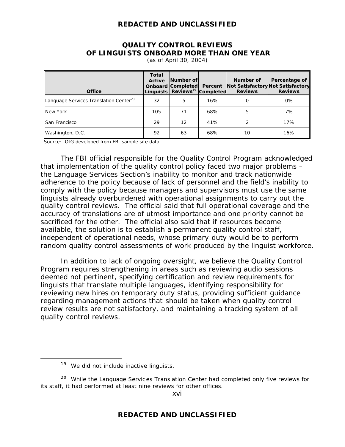#### **QUALITY CONTROL REVIEWS OF LINGUISTS ONBOARD MORE THAN ONE YEAR**

| <b>Office</b>                                      | <b>Total</b><br><b>Active</b> | Number of<br><b>Onboard Completed Percent</b><br>Linguists Reviews <sup>19</sup> Completed |     | Number of<br><b>Reviews</b> | Percentage of<br>Not Satisfactory Not Satisfactory<br><b>Reviews</b> |
|----------------------------------------------------|-------------------------------|--------------------------------------------------------------------------------------------|-----|-----------------------------|----------------------------------------------------------------------|
| Language Services Translation Center <sup>20</sup> | 32                            | 5                                                                                          | 16% |                             | 0%                                                                   |
| <b>New York</b>                                    | 105                           | 71                                                                                         | 68% | 5                           | 7%                                                                   |
| San Francisco                                      | 29                            | 12                                                                                         | 41% |                             | 17%                                                                  |
| Washington, D.C.                                   | 92                            | 63                                                                                         | 68% | 10                          | 16%                                                                  |

(as of April 30, 2004)

Source: OIG developed from FBI sample site data.

The FBI official responsible for the Quality Control Program acknowledged that implementation of the quality control policy faced two major problems – the Language Services Section's inability to monitor and track nationwide adherence to the policy because of lack of personnel and the field's inability to comply with the policy because managers and supervisors must use the same linguists already overburdened with operational assignments to carry out the quality control reviews. The official said that full operational coverage and the accuracy of translations are of utmost importance and one priority cannot be sacrificed for the other. The official also said that if resources become available, the solution is to establish a permanent quality control staff, independent of operational needs, whose primary duty would be to perform random quality control assessments of work produced by the linguist workforce.

In addition to lack of ongoing oversight, we believe the Quality Control Program requires strengthening in areas such as reviewing audio sessions deemed not pertinent, specifying certification and review requirements for linguists that translate multiple languages, identifying responsibility for reviewing new hires on temporary duty status, providing sufficient guidance regarding management actions that should be taken when quality control review results are not satisfactory, and maintaining a tracking system of all quality control reviews.

 $\overline{a}$ 

xvi

 $19$  We did not include inactive linguists.

<sup>&</sup>lt;sup>20</sup> While the Language Services Translation Center had completed only five reviews for its staff, it had performed at least nine reviews for other offices.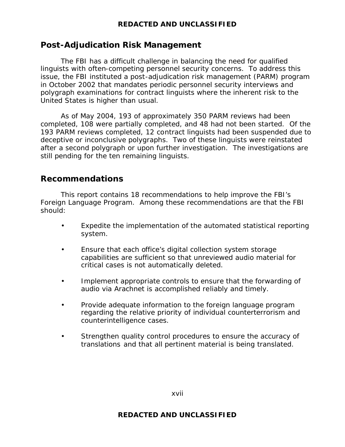# **Post-Adjudication Risk Management**

The FBI has a difficult challenge in balancing the need for qualified linguists with often-competing personnel security concerns. To address this issue, the FBI instituted a post-adjudication risk management (PARM) program in October 2002 that mandates periodic personnel security interviews and polygraph examinations for contract linguists where the inherent risk to the United States is higher than usual.

As of May 2004, 193 of approximately 350 PARM reviews had been completed, 108 were partially completed, and 48 had not been started. Of the 193 PARM reviews completed, 12 contract linguists had been suspended due to deceptive or inconclusive polygraphs. Two of these linguists were reinstated after a second polygraph or upon further investigation. The investigations are still pending for the ten remaining linguists.

# **Recommendations**

This report contains 18 recommendations to help improve the FBI's Foreign Language Program. Among these recommendations are that the FBI should:

- Expedite the implementation of the automated statistical reporting system.
- Ensure that each office's digital collection system storage capabilities are sufficient so that unreviewed audio material for critical cases is not automatically deleted.
- Implement appropriate controls to ensure that the forwarding of audio via Arachnet is accomplished reliably and timely.
- Provide adequate information to the foreign language program regarding the relative priority of individual counterterrorism and counterintelligence cases.
- Strengthen quality control procedures to ensure the accuracy of translations and that all pertinent material is being translated.

xvii